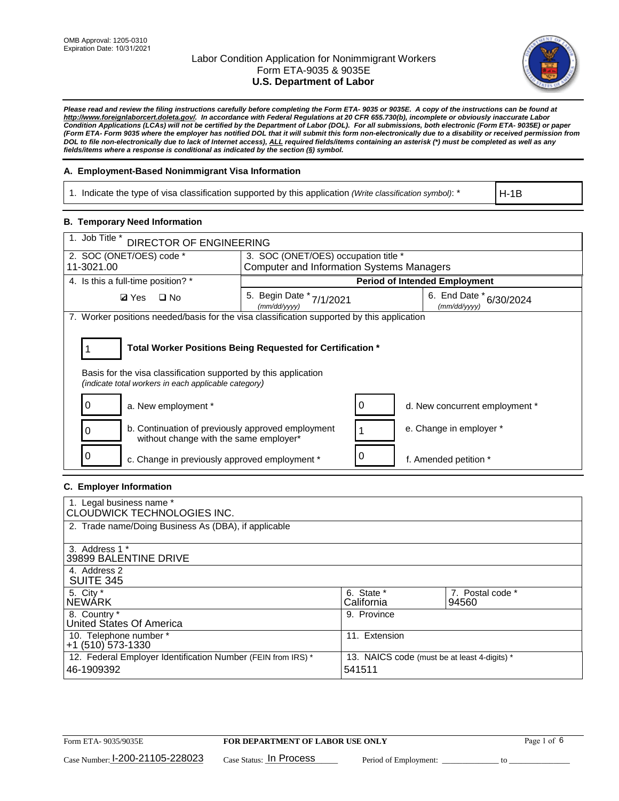

*Please read and review the filing instructions carefully before completing the Form ETA- 9035 or 9035E. A copy of the instructions can be found at [http://www.foreignlaborcert.doleta.gov/.](http://www.foreignlaborcert.doleta.gov/) In accordance with Federal Regulations at 20 CFR 655.730(b), incomplete or obviously inaccurate Labor Condition Applications (LCAs) will not be certified by the Department of Labor (DOL). For all submissions, both electronic (Form ETA- 9035E) or paper (Form ETA- Form 9035 where the employer has notified DOL that it will submit this form non-electronically due to a disability or received permission from DOL to file non-electronically due to lack of Internet access), ALL required fields/items containing an asterisk (\*) must be completed as well as any fields/items where a response is conditional as indicated by the section (§) symbol.* 

### **A. Employment-Based Nonimmigrant Visa Information**

1. Indicate the type of visa classification supported by this application *(Write classification symbol)*: \*

H-1B

### **B. Temporary Need Information**

| 1. Job Title *<br><b>DIRECTOR OF ENGINEERING</b>                                                                                                                                      |                                                  |  |                                         |  |  |  |
|---------------------------------------------------------------------------------------------------------------------------------------------------------------------------------------|--------------------------------------------------|--|-----------------------------------------|--|--|--|
| 2. SOC (ONET/OES) code *                                                                                                                                                              | 3. SOC (ONET/OES) occupation title *             |  |                                         |  |  |  |
| 11-3021.00                                                                                                                                                                            | <b>Computer and Information Systems Managers</b> |  |                                         |  |  |  |
| 4. Is this a full-time position? *                                                                                                                                                    | <b>Period of Intended Employment</b>             |  |                                         |  |  |  |
| $\Box$ No<br><b>Ø</b> Yes                                                                                                                                                             | 5. Begin Date *<br>7/1/2021<br>(mm/dd/yyyy)      |  | 6. End Date * 6/30/2024<br>(mm/dd/yyyy) |  |  |  |
| 7. Worker positions needed/basis for the visa classification supported by this application                                                                                            |                                                  |  |                                         |  |  |  |
| Total Worker Positions Being Requested for Certification *<br>Basis for the visa classification supported by this application<br>(indicate total workers in each applicable category) |                                                  |  |                                         |  |  |  |
| a. New employment *                                                                                                                                                                   |                                                  |  | d. New concurrent employment *          |  |  |  |
| b. Continuation of previously approved employment<br>without change with the same employer*                                                                                           |                                                  |  | e. Change in employer *                 |  |  |  |
| c. Change in previously approved employment *                                                                                                                                         |                                                  |  | f. Amended petition *                   |  |  |  |

### **C. Employer Information**

| 1. Legal business name *<br>CLOUDWICK TECHNOLOGIES INC.                    |                                                        |                           |
|----------------------------------------------------------------------------|--------------------------------------------------------|---------------------------|
| 2. Trade name/Doing Business As (DBA), if applicable                       |                                                        |                           |
| 3. Address 1 *<br>39899 BALENTINE DRIVE                                    |                                                        |                           |
| 4. Address 2<br><b>SUITE 345</b>                                           |                                                        |                           |
| 5. City *<br>INEWÁRK                                                       | 6. State *<br>California                               | 7. Postal code *<br>94560 |
| 8. Country *<br>United States Of America                                   | 9. Province                                            |                           |
| 10. Telephone number *<br>$+1$ (510) 573-1330                              | 11. Extension                                          |                           |
| 12. Federal Employer Identification Number (FEIN from IRS) *<br>46-1909392 | 13. NAICS code (must be at least 4-digits) *<br>541511 |                           |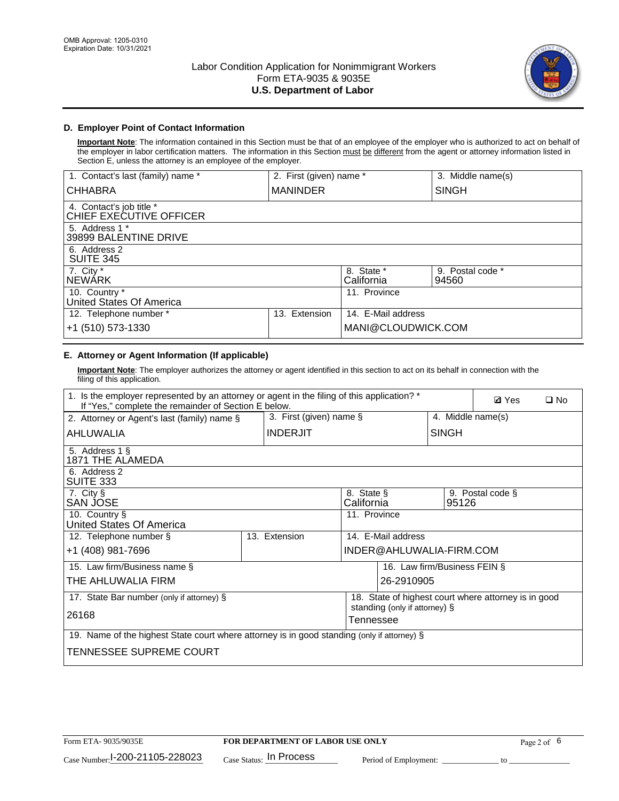

### **D. Employer Point of Contact Information**

**Important Note**: The information contained in this Section must be that of an employee of the employer who is authorized to act on behalf of the employer in labor certification matters. The information in this Section must be different from the agent or attorney information listed in Section E, unless the attorney is an employee of the employer.

| 1. Contact's last (family) name *                   | 2. First (given) name * |                          | 3. Middle name(s)         |
|-----------------------------------------------------|-------------------------|--------------------------|---------------------------|
| <b>CHHABRA</b>                                      | <b>MANINDER</b>         |                          | <b>SINGH</b>              |
| 4. Contact's job title *<br>CHIEF EXECUTIVE OFFICER |                         |                          |                           |
| 5. Address 1 *<br>39899 BALENTINE DRIVE             |                         |                          |                           |
| 6. Address 2<br><b>SUITE 345</b>                    |                         |                          |                           |
| 7. City *<br><b>NEWÁRK</b>                          |                         | 8. State *<br>California | 9. Postal code *<br>94560 |
| 10. Country *<br>United States Of America           |                         | 11. Province             |                           |
| 12. Telephone number *                              | Extension<br>13.        | 14. E-Mail address       |                           |
| +1 (510) 573-1330                                   |                         | MANI@CLOUDWICK.COM       |                           |

## **E. Attorney or Agent Information (If applicable)**

**Important Note**: The employer authorizes the attorney or agent identified in this section to act on its behalf in connection with the filing of this application.

| 1. Is the employer represented by an attorney or agent in the filing of this application? *<br>If "Yes," complete the remainder of Section E below. |  |                            |                          |                               |                              | <b>Ø</b> Yes<br>$\square$ No                         |  |
|-----------------------------------------------------------------------------------------------------------------------------------------------------|--|----------------------------|--------------------------|-------------------------------|------------------------------|------------------------------------------------------|--|
| 2. Attorney or Agent's last (family) name §                                                                                                         |  | 3. First (given) name $\S$ |                          |                               | 4. Middle name(s)            |                                                      |  |
| AHLUWALIA                                                                                                                                           |  | <b>INDERJIT</b>            |                          |                               | <b>SINGH</b>                 |                                                      |  |
| 5. Address 1 §<br>1871 THE ALAMEDA                                                                                                                  |  |                            |                          |                               |                              |                                                      |  |
| 6. Address 2<br>SUITE 333                                                                                                                           |  |                            |                          |                               |                              |                                                      |  |
| 7. City §<br>SAN JOSE                                                                                                                               |  |                            | 8. State §<br>California |                               | 95126                        | 9. Postal code §                                     |  |
| 10. Country §<br>United States Of America                                                                                                           |  | 11. Province               |                          |                               |                              |                                                      |  |
| 12. Telephone number §                                                                                                                              |  | 13. Extension              |                          | 14. E-Mail address            |                              |                                                      |  |
| +1 (408) 981-7696                                                                                                                                   |  |                            |                          | INDER@AHLUWALIA-FIRM.COM      |                              |                                                      |  |
| 15. Law firm/Business name §                                                                                                                        |  |                            |                          |                               | 16. Law firm/Business FEIN § |                                                      |  |
| THE AHLUWALIA FIRM                                                                                                                                  |  |                            |                          | 26-2910905                    |                              |                                                      |  |
| 17. State Bar number (only if attorney) §                                                                                                           |  |                            |                          | standing (only if attorney) § |                              | 18. State of highest court where attorney is in good |  |
| 26168                                                                                                                                               |  |                            | Tennessee                |                               |                              |                                                      |  |
| 19. Name of the highest State court where attorney is in good standing (only if attorney) §                                                         |  |                            |                          |                               |                              |                                                      |  |
| TENNESSEE SUPREME COURT                                                                                                                             |  |                            |                          |                               |                              |                                                      |  |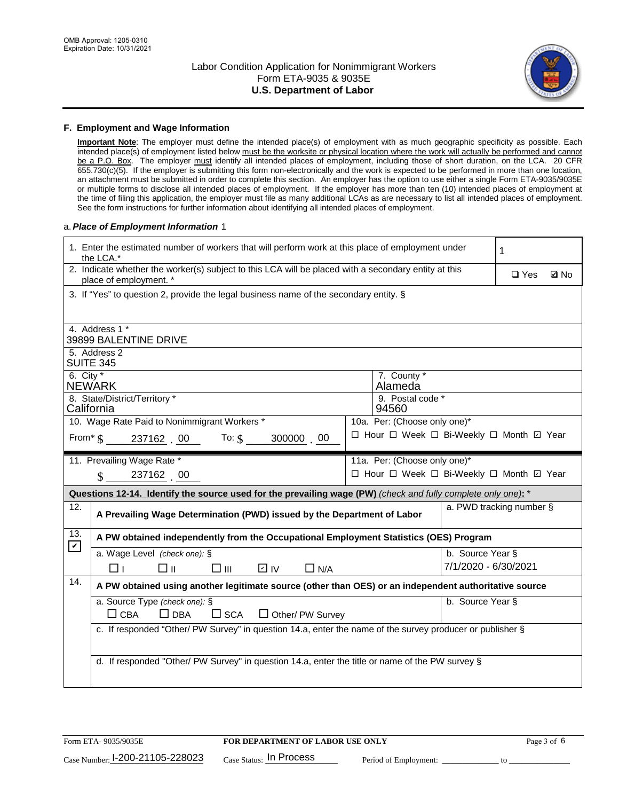

#### **F. Employment and Wage Information**

**Important Note**: The employer must define the intended place(s) of employment with as much geographic specificity as possible. Each intended place(s) of employment listed below must be the worksite or physical location where the work will actually be performed and cannot be a P.O. Box. The employer must identify all intended places of employment, including those of short duration, on the LCA. 20 CFR 655.730(c)(5). If the employer is submitting this form non-electronically and the work is expected to be performed in more than one location, an attachment must be submitted in order to complete this section. An employer has the option to use either a single Form ETA-9035/9035E or multiple forms to disclose all intended places of employment. If the employer has more than ten (10) intended places of employment at the time of filing this application, the employer must file as many additional LCAs as are necessary to list all intended places of employment. See the form instructions for further information about identifying all intended places of employment.

#### a.*Place of Employment Information* 1

|                                                                              | 1. Enter the estimated number of workers that will perform work at this place of employment under<br>the LCA.*                 |  |                                          |                          |            |             |  |  |
|------------------------------------------------------------------------------|--------------------------------------------------------------------------------------------------------------------------------|--|------------------------------------------|--------------------------|------------|-------------|--|--|
|                                                                              | 2. Indicate whether the worker(s) subject to this LCA will be placed with a secondary entity at this<br>place of employment. * |  |                                          |                          | $\Box$ Yes | <b>Q</b> No |  |  |
|                                                                              | 3. If "Yes" to question 2, provide the legal business name of the secondary entity. §                                          |  |                                          |                          |            |             |  |  |
|                                                                              | 4. Address 1 *                                                                                                                 |  |                                          |                          |            |             |  |  |
|                                                                              | 39899 BALENTINE DRIVE                                                                                                          |  |                                          |                          |            |             |  |  |
|                                                                              | 5. Address 2<br><b>SUITE 345</b>                                                                                               |  |                                          |                          |            |             |  |  |
|                                                                              | 6. City $*$<br>7. County *<br><b>NEWARK</b><br>Alameda                                                                         |  |                                          |                          |            |             |  |  |
| 8. State/District/Territory *<br>9. Postal code *<br>California<br>94560     |                                                                                                                                |  |                                          |                          |            |             |  |  |
| 10. Wage Rate Paid to Nonimmigrant Workers *<br>10a. Per: (Choose only one)* |                                                                                                                                |  |                                          |                          |            |             |  |  |
|                                                                              | □ Hour □ Week □ Bi-Weekly □ Month ☑ Year<br>From* $\S$ 237162 00 To: $\S$<br>300000 00                                         |  |                                          |                          |            |             |  |  |
|                                                                              | 11. Prevailing Wage Rate *<br>11a. Per: (Choose only one)*                                                                     |  |                                          |                          |            |             |  |  |
|                                                                              | 237162 00<br>$\mathbf{\hat{s}}$                                                                                                |  | □ Hour □ Week □ Bi-Weekly □ Month ☑ Year |                          |            |             |  |  |
|                                                                              | Questions 12-14. Identify the source used for the prevailing wage (PW) (check and fully complete only one): *                  |  |                                          |                          |            |             |  |  |
| 12.                                                                          | A Prevailing Wage Determination (PWD) issued by the Department of Labor                                                        |  |                                          | a. PWD tracking number § |            |             |  |  |
| 13.<br>$\mathbf v$                                                           | A PW obtained independently from the Occupational Employment Statistics (OES) Program                                          |  |                                          |                          |            |             |  |  |
|                                                                              | a. Wage Level (check one): §                                                                                                   |  |                                          | b. Source Year §         |            |             |  |  |
|                                                                              | $\overline{V}$ IV<br>□⊪<br>$\square$ $\square$<br>$\Box$ N/A<br>□⊥                                                             |  |                                          | 7/1/2020 - 6/30/2021     |            |             |  |  |
| 14.                                                                          | A PW obtained using another legitimate source (other than OES) or an independent authoritative source                          |  |                                          |                          |            |             |  |  |
|                                                                              | a. Source Type (check one): §                                                                                                  |  |                                          | b. Source Year §         |            |             |  |  |
|                                                                              | $\Box$ CBA<br>$\Box$ DBA<br>$\square$ SCA<br>$\Box$ Other/ PW Survey                                                           |  |                                          |                          |            |             |  |  |
|                                                                              | c. If responded "Other/ PW Survey" in question 14.a, enter the name of the survey producer or publisher §                      |  |                                          |                          |            |             |  |  |
|                                                                              |                                                                                                                                |  |                                          |                          |            |             |  |  |
|                                                                              | d. If responded "Other/ PW Survey" in question 14.a, enter the title or name of the PW survey §                                |  |                                          |                          |            |             |  |  |
|                                                                              |                                                                                                                                |  |                                          |                          |            |             |  |  |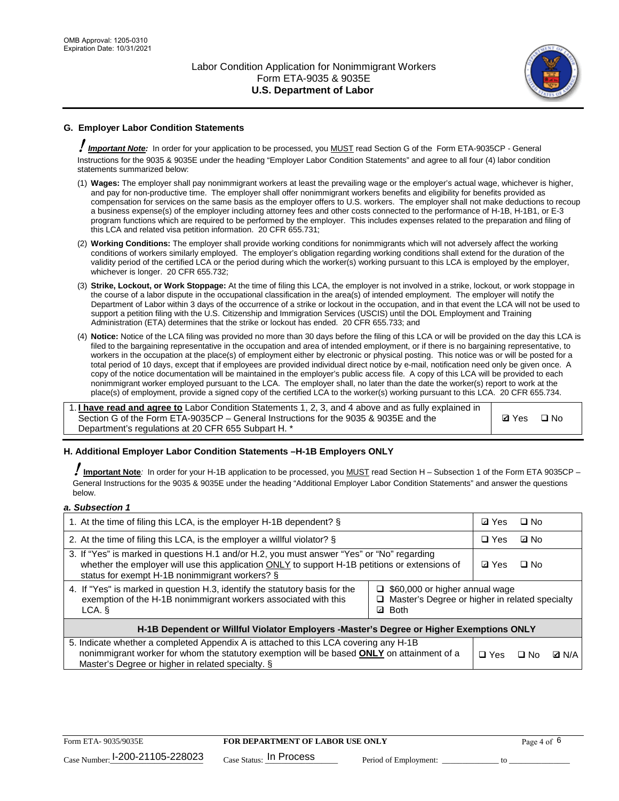

## **G. Employer Labor Condition Statements**

! *Important Note:* In order for your application to be processed, you MUST read Section G of the Form ETA-9035CP - General Instructions for the 9035 & 9035E under the heading "Employer Labor Condition Statements" and agree to all four (4) labor condition statements summarized below:

- (1) **Wages:** The employer shall pay nonimmigrant workers at least the prevailing wage or the employer's actual wage, whichever is higher, and pay for non-productive time. The employer shall offer nonimmigrant workers benefits and eligibility for benefits provided as compensation for services on the same basis as the employer offers to U.S. workers. The employer shall not make deductions to recoup a business expense(s) of the employer including attorney fees and other costs connected to the performance of H-1B, H-1B1, or E-3 program functions which are required to be performed by the employer. This includes expenses related to the preparation and filing of this LCA and related visa petition information. 20 CFR 655.731;
- (2) **Working Conditions:** The employer shall provide working conditions for nonimmigrants which will not adversely affect the working conditions of workers similarly employed. The employer's obligation regarding working conditions shall extend for the duration of the validity period of the certified LCA or the period during which the worker(s) working pursuant to this LCA is employed by the employer, whichever is longer. 20 CFR 655.732;
- (3) **Strike, Lockout, or Work Stoppage:** At the time of filing this LCA, the employer is not involved in a strike, lockout, or work stoppage in the course of a labor dispute in the occupational classification in the area(s) of intended employment. The employer will notify the Department of Labor within 3 days of the occurrence of a strike or lockout in the occupation, and in that event the LCA will not be used to support a petition filing with the U.S. Citizenship and Immigration Services (USCIS) until the DOL Employment and Training Administration (ETA) determines that the strike or lockout has ended. 20 CFR 655.733; and
- (4) **Notice:** Notice of the LCA filing was provided no more than 30 days before the filing of this LCA or will be provided on the day this LCA is filed to the bargaining representative in the occupation and area of intended employment, or if there is no bargaining representative, to workers in the occupation at the place(s) of employment either by electronic or physical posting. This notice was or will be posted for a total period of 10 days, except that if employees are provided individual direct notice by e-mail, notification need only be given once. A copy of the notice documentation will be maintained in the employer's public access file. A copy of this LCA will be provided to each nonimmigrant worker employed pursuant to the LCA. The employer shall, no later than the date the worker(s) report to work at the place(s) of employment, provide a signed copy of the certified LCA to the worker(s) working pursuant to this LCA. 20 CFR 655.734.

1. **I have read and agree to** Labor Condition Statements 1, 2, 3, and 4 above and as fully explained in Section G of the Form ETA-9035CP – General Instructions for the 9035 & 9035E and the Department's regulations at 20 CFR 655 Subpart H. \*

**Ø**Yes ロNo

### **H. Additional Employer Labor Condition Statements –H-1B Employers ONLY**

!**Important Note***:* In order for your H-1B application to be processed, you MUST read Section H – Subsection 1 of the Form ETA 9035CP – General Instructions for the 9035 & 9035E under the heading "Additional Employer Labor Condition Statements" and answer the questions below.

#### *a. Subsection 1*

| 1. At the time of filing this LCA, is the employer H-1B dependent? §                                                                                                                                                                           | ⊡ Yes                                                                                                         | $\square$ No |              |  |  |
|------------------------------------------------------------------------------------------------------------------------------------------------------------------------------------------------------------------------------------------------|---------------------------------------------------------------------------------------------------------------|--------------|--------------|--|--|
| 2. At the time of filing this LCA, is the employer a willful violator? $\S$                                                                                                                                                                    | $\Box$ Yes                                                                                                    | ⊡ No         |              |  |  |
| 3. If "Yes" is marked in questions H.1 and/or H.2, you must answer "Yes" or "No" regarding<br>whether the employer will use this application ONLY to support H-1B petitions or extensions of<br>status for exempt H-1B nonimmigrant workers? § | <b>☑</b> Yes                                                                                                  | $\Box$ No    |              |  |  |
| 4. If "Yes" is marked in question H.3, identify the statutory basis for the<br>exemption of the H-1B nonimmigrant workers associated with this<br>LCA. §                                                                                       | $\Box$ \$60,000 or higher annual wage<br>□ Master's Degree or higher in related specialty<br><b>Both</b><br>☑ |              |              |  |  |
| H-1B Dependent or Willful Violator Employers -Master's Degree or Higher Exemptions ONLY                                                                                                                                                        |                                                                                                               |              |              |  |  |
| 5. Indicate whether a completed Appendix A is attached to this LCA covering any H-1B<br>nonimmigrant worker for whom the statutory exemption will be based <b>ONLY</b> on attainment of a<br>Master's Degree or higher in related specialty. § | $\Box$ Yes                                                                                                    | ⊟ No         | <b>Q</b> N/A |  |  |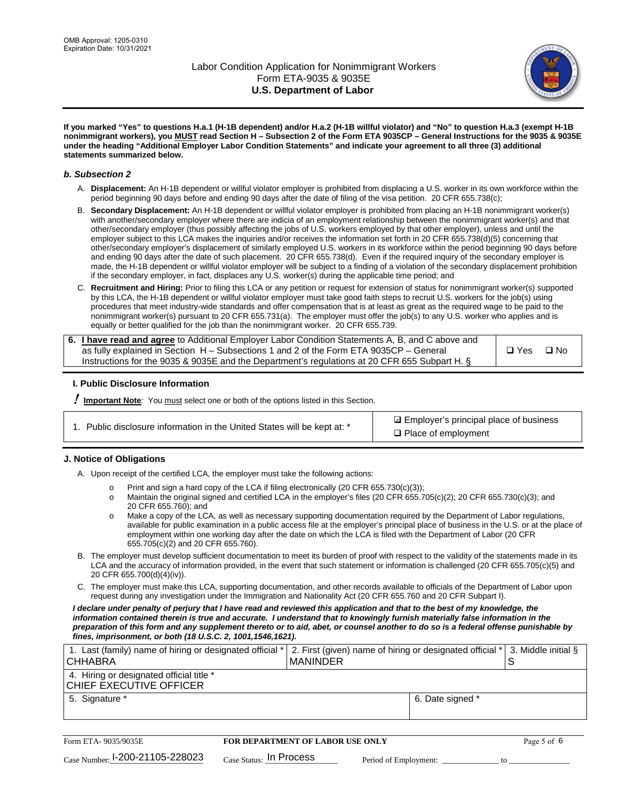

**If you marked "Yes" to questions H.a.1 (H-1B dependent) and/or H.a.2 (H-1B willful violator) and "No" to question H.a.3 (exempt H-1B nonimmigrant workers), you MUST read Section H – Subsection 2 of the Form ETA 9035CP – General Instructions for the 9035 & 9035E under the heading "Additional Employer Labor Condition Statements" and indicate your agreement to all three (3) additional statements summarized below.**

#### *b. Subsection 2*

- A. **Displacement:** An H-1B dependent or willful violator employer is prohibited from displacing a U.S. worker in its own workforce within the period beginning 90 days before and ending 90 days after the date of filing of the visa petition. 20 CFR 655.738(c);
- B. **Secondary Displacement:** An H-1B dependent or willful violator employer is prohibited from placing an H-1B nonimmigrant worker(s) with another/secondary employer where there are indicia of an employment relationship between the nonimmigrant worker(s) and that other/secondary employer (thus possibly affecting the jobs of U.S. workers employed by that other employer), unless and until the employer subject to this LCA makes the inquiries and/or receives the information set forth in 20 CFR 655.738(d)(5) concerning that other/secondary employer's displacement of similarly employed U.S. workers in its workforce within the period beginning 90 days before and ending 90 days after the date of such placement. 20 CFR 655.738(d). Even if the required inquiry of the secondary employer is made, the H-1B dependent or willful violator employer will be subject to a finding of a violation of the secondary displacement prohibition if the secondary employer, in fact, displaces any U.S. worker(s) during the applicable time period; and
- C. **Recruitment and Hiring:** Prior to filing this LCA or any petition or request for extension of status for nonimmigrant worker(s) supported by this LCA, the H-1B dependent or willful violator employer must take good faith steps to recruit U.S. workers for the job(s) using procedures that meet industry-wide standards and offer compensation that is at least as great as the required wage to be paid to the nonimmigrant worker(s) pursuant to 20 CFR 655.731(a). The employer must offer the job(s) to any U.S. worker who applies and is equally or better qualified for the job than the nonimmigrant worker. 20 CFR 655.739.

| 6. I have read and agree to Additional Employer Labor Condition Statements A, B, and C above and |       |           |
|--------------------------------------------------------------------------------------------------|-------|-----------|
| as fully explained in Section H – Subsections 1 and 2 of the Form ETA 9035CP – General           | □ Yes | $\Box$ No |
| Instructions for the 9035 & 9035E and the Department's regulations at 20 CFR 655 Subpart H. §    |       |           |

### **I. Public Disclosure Information**

! **Important Note***:* You must select one or both of the options listed in this Section.

| 1. Public disclosure information in the United States will be kept at: * |  |  |  |  |  |  |  |  |
|--------------------------------------------------------------------------|--|--|--|--|--|--|--|--|
|--------------------------------------------------------------------------|--|--|--|--|--|--|--|--|

**sqrt** Employer's principal place of business □ Place of employment

### **J. Notice of Obligations**

A. Upon receipt of the certified LCA, the employer must take the following actions:

- o Print and sign a hard copy of the LCA if filing electronically (20 CFR 655.730(c)(3));<br>
Maintain the original signed and certified LCA in the employer's files (20 CFR 655.7
- Maintain the original signed and certified LCA in the employer's files (20 CFR 655.705(c)(2); 20 CFR 655.730(c)(3); and 20 CFR 655.760); and
- o Make a copy of the LCA, as well as necessary supporting documentation required by the Department of Labor regulations, available for public examination in a public access file at the employer's principal place of business in the U.S. or at the place of employment within one working day after the date on which the LCA is filed with the Department of Labor (20 CFR 655.705(c)(2) and 20 CFR 655.760).
- B. The employer must develop sufficient documentation to meet its burden of proof with respect to the validity of the statements made in its LCA and the accuracy of information provided, in the event that such statement or information is challenged (20 CFR 655.705(c)(5) and 20 CFR 655.700(d)(4)(iv)).
- C. The employer must make this LCA, supporting documentation, and other records available to officials of the Department of Labor upon request during any investigation under the Immigration and Nationality Act (20 CFR 655.760 and 20 CFR Subpart I).

*I declare under penalty of perjury that I have read and reviewed this application and that to the best of my knowledge, the*  information contained therein is true and accurate. I understand that to knowingly furnish materially false information in the *preparation of this form and any supplement thereto or to aid, abet, or counsel another to do so is a federal offense punishable by fines, imprisonment, or both (18 U.S.C. 2, 1001,1546,1621).*

| 1. Last (family) name of hiring or designated official *<br><b>CHHABRA</b> |                         | <b>MANINDER</b>                         |                       | 2. First (given) name of hiring or designated official * | S  | 3. Middle initial § |
|----------------------------------------------------------------------------|-------------------------|-----------------------------------------|-----------------------|----------------------------------------------------------|----|---------------------|
| 4. Hiring or designated official title *<br>CHIEF EXECUTIVE OFFICER        |                         |                                         |                       |                                                          |    |                     |
| 5. Signature *                                                             |                         |                                         |                       | 6. Date signed *                                         |    |                     |
|                                                                            |                         |                                         |                       |                                                          |    |                     |
| Form ETA-9035/9035E                                                        |                         | <b>FOR DEPARTMENT OF LABOR USE ONLY</b> |                       |                                                          |    | Page 5 of 6         |
| $_{\text{Case Number:}}$ 1-200-21105-228023                                | Case Status: In Process |                                         | Period of Employment: |                                                          | tΩ |                     |